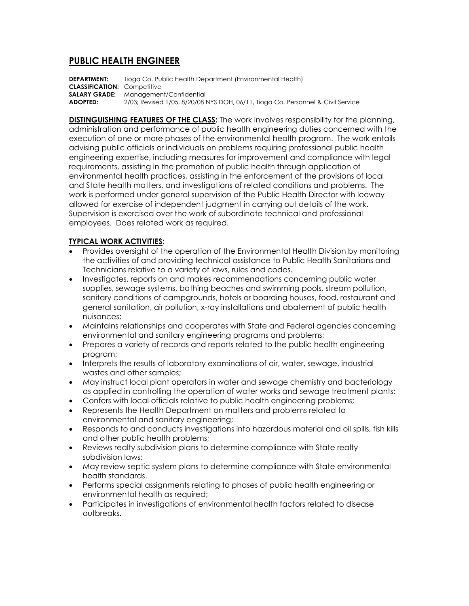## **PUBLIC HEALTH ENGINEER**

**DEPARTMENT:** Tioga Co. Public Health Department (Environmental Health) **CLASSIFICATION:** Competitive **SALARY GRADE:** Management/Confidential **ADOPTED:** 2/03; Revised 1/05, 8/20/08 NYS DOH, 06/11, Tioga Co. Personnel & Civil Service

**DISTINGUISHING FEATURES OF THE CLASS:** The work involves responsibility for the planning, administration and performance of public health engineering duties concerned with the execution of one or more phases of the environmental health program. The work entails advising public officials or individuals on problems requiring professional public health engineering expertise, including measures for improvement and compliance with legal requirements, assisting in the promotion of public health through application of environmental health practices, assisting in the enforcement of the provisions of local and State health matters, and investigations of related conditions and problems. The work is performed under general supervision of the Public Health Director with leeway allowed for exercise of independent judgment in carrying out details of the work. Supervision is exercised over the work of subordinate technical and professional employees. Does related work as required.

## **TYPICAL WORK ACTIVITIES**:

- Provides oversight of the operation of the Environmental Health Division by monitoring the activities of and providing technical assistance to Public Health Sanitarians and Technicians relative to a variety of laws, rules and codes.
- Investigates, reports on and makes recommendations concerning public water supplies, sewage systems, bathing beaches and swimming pools, stream pollution, sanitary conditions of campgrounds, hotels or boarding houses, food, restaurant and general sanitation, air pollution, x-ray installations and abatement of public health nuisances;
- Maintains relationships and cooperates with State and Federal agencies concerning environmental and sanitary engineering programs and problems;
- Prepares a variety of records and reports related to the public health engineering program;
- Interprets the results of laboratory examinations of air, water, sewage, industrial wastes and other samples;
- May instruct local plant operators in water and sewage chemistry and bacteriology as applied in controlling the operation of water works and sewage treatment plants;
- Confers with local officials relative to public health engineering problems;
- Represents the Health Department on matters and problems related to environmental and sanitary engineering;
- Responds to and conducts investigations into hazardous material and oil spills, fish kills and other public health problems;
- Reviews realty subdivision plans to determine compliance with State realty subdivision laws;
- May review septic system plans to determine compliance with State environmental health standards.
- Performs special assignments relating to phases of public health engineering or environmental health as required;
- Participates in investigations of environmental health factors related to disease outbreaks.